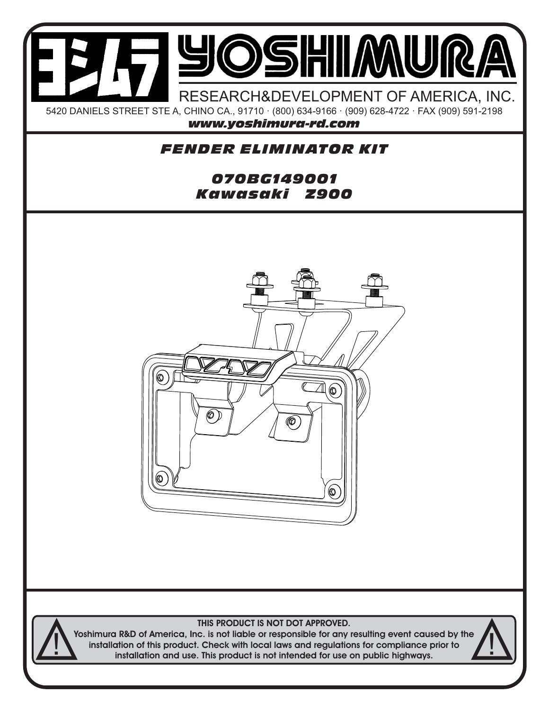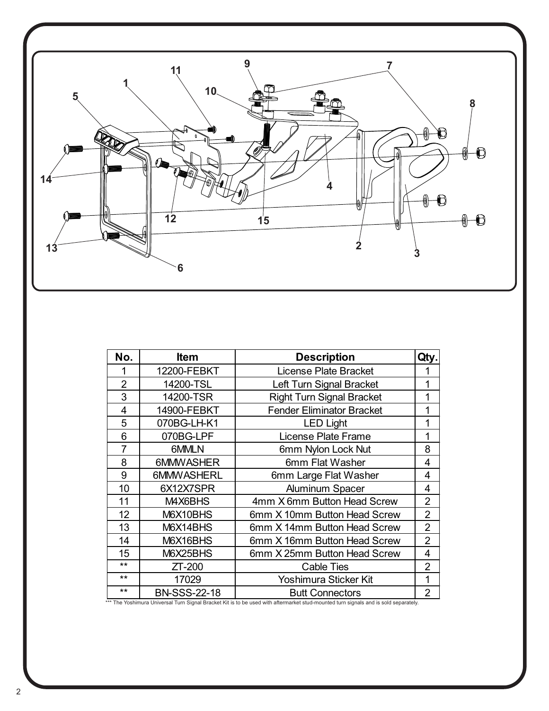

| No.            | <b>Item</b>         | <b>Description</b>               | Qty.           |
|----------------|---------------------|----------------------------------|----------------|
| 1              | 12200-FEBKT         | <b>License Plate Bracket</b>     |                |
| $\overline{2}$ | 14200-TSL           | Left Turn Signal Bracket         | 1              |
| 3              | 14200-TSR           | <b>Right Turn Signal Bracket</b> | 1              |
| 4              | 14900-FEBKT         | <b>Fender Eliminator Bracket</b> | 1              |
| 5              | 070BG-LH-K1         | <b>LED Light</b>                 | 1              |
| 6              | 070BG-LPF           | <b>License Plate Frame</b>       | 1              |
| $\overline{7}$ | 6MMLN               | 6mm Nylon Lock Nut               | 8              |
| 8              | 6MMWASHER           | 6mm Flat Washer                  | 4              |
| 9              | 6MMWASHERL          | 6mm Large Flat Washer            | 4              |
| 10             | 6X12X7SPR           | <b>Aluminum Spacer</b>           | 4              |
| 11             | M4X6BHS             | 4mm X 6mm Button Head Screw      | $\overline{2}$ |
| 12             | M6X10BHS            | 6mm X 10mm Button Head Screw     | $\overline{2}$ |
| 13             | M6X14BHS            | 6mm X 14mm Button Head Screw     | $\overline{2}$ |
| 14             | M6X16BHS            | 6mm X 16mm Button Head Screw     | $\overline{2}$ |
| 15             | M6X25BHS            | 6mm X 25mm Button Head Screw     | 4              |
| $***$          | $ZT-200$            | <b>Cable Ties</b>                | $\overline{2}$ |
| $***$          | 17029               | Yoshimura Sticker Kit            | 1              |
| $***$          | <b>BN-SSS-22-18</b> | <b>Butt Connectors</b>           | 2              |

\*\*\* The Yoshimura Universal Turn Signal Bracket Kit is to be used with aftermarket stud-mounted turn signals and is sold separately.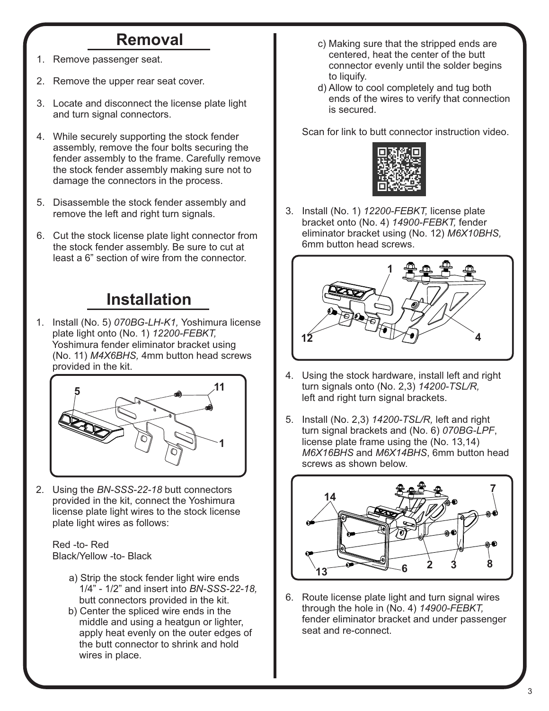## **Removal**

- Remove passenger seat.
- 2. Remove the upper rear seat cover.
- 3. Locate and disconnect the license plate light and turn signal connectors.
- 4. While securely supporting the stock fender assembly, remove the four bolts securing the fender assembly to the frame. Carefully remove the stock fender assembly making sure not to damage the connectors in the process.
- 5. Disassemble the stock fender assembly and remove the left and right turn signals.
- 6. Cut the stock license plate light connector from the stock fender assembly. Be sure to cut at least a 6" section of wire from the connector.

## **Installation**

1. Install (No. 5) *070BG-LH-K1,* Yoshimura license plate light onto (No. 1) *12200-FEBKT,*  Yoshimura fender eliminator bracket using (No. 11) *M4X6BHS,* 4mm button head screws provided in the kit.



2. Using the *BN-SSS-22-18* butt connectors provided in the kit, connect the Yoshimura license plate light wires to the stock license plate light wires as follows:

 Red -to- Red Black/Yellow -to- Black

- a) Strip the stock fender light wire ends 1/4" - 1/2" and insert into *BN-SSS-22-18,* butt connectors provided in the kit.
- b) Center the spliced wire ends in the middle and using a heatgun or lighter, apply heat evenly on the outer edges of the butt connector to shrink and hold wires in place.
- c) Making sure that the stripped ends are centered, heat the center of the butt connector evenly until the solder begins to liquify.
- d) Allow to cool completely and tug both ends of the wires to verify that connection is secured.

Scan for link to butt connector instruction video.



3. Install (No. 1) *12200-FEBKT,* license plate bracket onto (No. 4) *14900-FEBKT,* fender eliminator bracket using (No. 12) *M6X10BHS,*  6mm button head screws.



- 4. Using the stock hardware, install left and right turn signals onto (No. 2,3) *14200-TSL/R,*  left and right turn signal brackets.
- 5. Install (No. 2,3) *14200-TSL/R,* left and right turn signal brackets and (No. 6) *070BG-LPF*, license plate frame using the (No. 13,14) *M6X16BHS* and *M6X14BHS*, 6mm button head screws as shown below.



6. Route license plate light and turn signal wires through the hole in (No. 4) *14900-FEBKT,*  fender eliminator bracket and under passenger seat and re-connect.